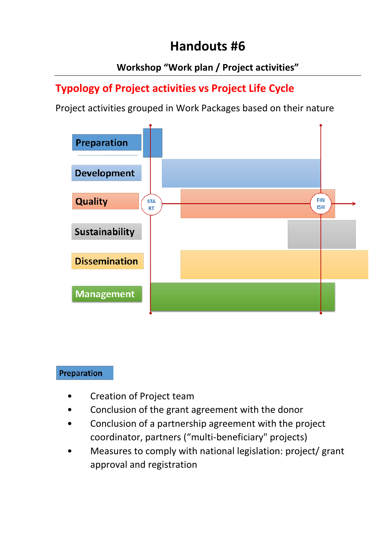# **Handouts #6**

### **Workshop "Work plan / Project activities"**

## **Typology of Project activities vs Project Life Cycle**

Project activities grouped in Work Packages based on their nature



#### **Preparation**

- Creation of Project team
- Conclusion of the grant agreement with the donor
- Conclusion of a partnership agreement with the project coordinator, partners ("multi-beneficiary" projects)
- Measures to comply with national legislation: project/ grant approval and registration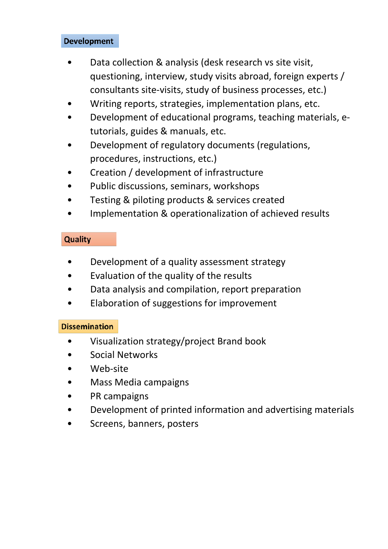#### **Development**

- Data collection & analysis (desk research vs site visit, questioning, interview, study visits abroad, foreign experts / consultants site-visits, study of business processes, etc.)
- Writing reports, strategies, implementation plans, etc.
- Development of educational programs, teaching materials, etutorials, guides & manuals, etc.
- Development of regulatory documents (regulations, procedures, instructions, etc.)
- Creation / development of infrastructure
- Public discussions, seminars, workshops
- Testing & piloting products & services created
- Implementation & operationalization of achieved results

#### **Quality**

- Development of a quality assessment strategy
- Evaluation of the quality of the results
- Data analysis and compilation, report preparation
- Elaboration of suggestions for improvement

#### **Dissemination**

- Visualization strategy/project Brand book
- Social Networks
- Web-site
- Mass Media campaigns
- PR campaigns
- Development of printed information and advertising materials
- Screens, banners, posters